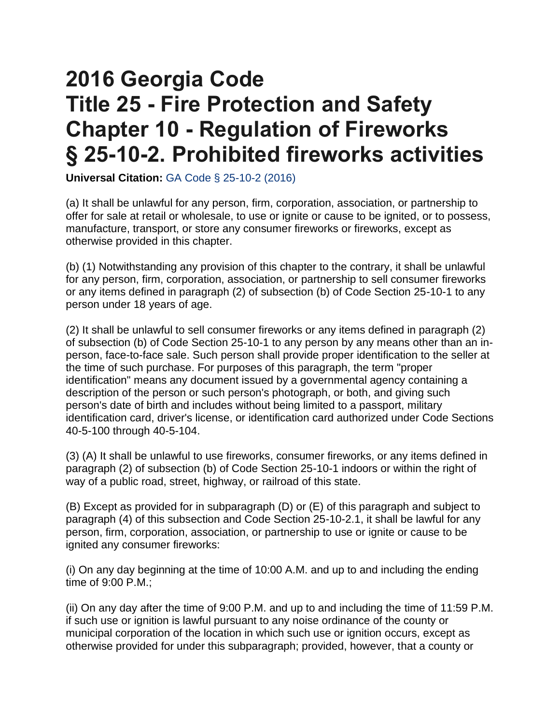## **2016 Georgia Code Title 25 - Fire Protection and Safety Chapter 10 - Regulation of Fireworks § 25-10-2. Prohibited fireworks activities**

**Universal Citation:** [GA Code § 25-10-2 \(2016\)](https://law.justia.com/citations.html) 

(a) It shall be unlawful for any person, firm, corporation, association, or partnership to offer for sale at retail or wholesale, to use or ignite or cause to be ignited, or to possess, manufacture, transport, or store any consumer fireworks or fireworks, except as otherwise provided in this chapter.

(b) (1) Notwithstanding any provision of this chapter to the contrary, it shall be unlawful for any person, firm, corporation, association, or partnership to sell consumer fireworks or any items defined in paragraph (2) of subsection (b) of Code Section 25-10-1 to any person under 18 years of age.

(2) It shall be unlawful to sell consumer fireworks or any items defined in paragraph (2) of subsection (b) of Code Section 25-10-1 to any person by any means other than an inperson, face-to-face sale. Such person shall provide proper identification to the seller at the time of such purchase. For purposes of this paragraph, the term "proper identification" means any document issued by a governmental agency containing a description of the person or such person's photograph, or both, and giving such person's date of birth and includes without being limited to a passport, military identification card, driver's license, or identification card authorized under Code Sections 40-5-100 through 40-5-104.

(3) (A) It shall be unlawful to use fireworks, consumer fireworks, or any items defined in paragraph (2) of subsection (b) of Code Section 25-10-1 indoors or within the right of way of a public road, street, highway, or railroad of this state.

(B) Except as provided for in subparagraph (D) or (E) of this paragraph and subject to paragraph (4) of this subsection and Code Section 25-10-2.1, it shall be lawful for any person, firm, corporation, association, or partnership to use or ignite or cause to be ignited any consumer fireworks:

(i) On any day beginning at the time of 10:00 A.M. and up to and including the ending time of 9:00 P.M.;

(ii) On any day after the time of 9:00 P.M. and up to and including the time of 11:59 P.M. if such use or ignition is lawful pursuant to any noise ordinance of the county or municipal corporation of the location in which such use or ignition occurs, except as otherwise provided for under this subparagraph; provided, however, that a county or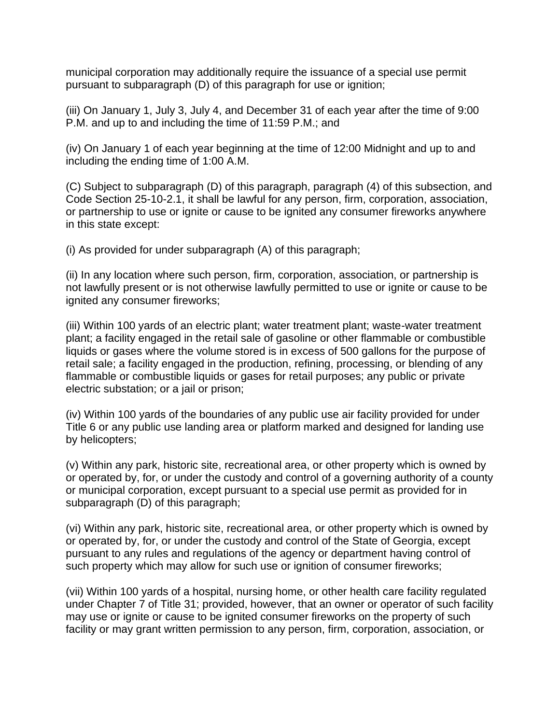municipal corporation may additionally require the issuance of a special use permit pursuant to subparagraph (D) of this paragraph for use or ignition;

(iii) On January 1, July 3, July 4, and December 31 of each year after the time of 9:00 P.M. and up to and including the time of 11:59 P.M.; and

(iv) On January 1 of each year beginning at the time of 12:00 Midnight and up to and including the ending time of 1:00 A.M.

(C) Subject to subparagraph (D) of this paragraph, paragraph (4) of this subsection, and Code Section 25-10-2.1, it shall be lawful for any person, firm, corporation, association, or partnership to use or ignite or cause to be ignited any consumer fireworks anywhere in this state except:

(i) As provided for under subparagraph (A) of this paragraph;

(ii) In any location where such person, firm, corporation, association, or partnership is not lawfully present or is not otherwise lawfully permitted to use or ignite or cause to be ignited any consumer fireworks;

(iii) Within 100 yards of an electric plant; water treatment plant; waste-water treatment plant; a facility engaged in the retail sale of gasoline or other flammable or combustible liquids or gases where the volume stored is in excess of 500 gallons for the purpose of retail sale; a facility engaged in the production, refining, processing, or blending of any flammable or combustible liquids or gases for retail purposes; any public or private electric substation; or a jail or prison;

(iv) Within 100 yards of the boundaries of any public use air facility provided for under Title 6 or any public use landing area or platform marked and designed for landing use by helicopters;

(v) Within any park, historic site, recreational area, or other property which is owned by or operated by, for, or under the custody and control of a governing authority of a county or municipal corporation, except pursuant to a special use permit as provided for in subparagraph (D) of this paragraph;

(vi) Within any park, historic site, recreational area, or other property which is owned by or operated by, for, or under the custody and control of the State of Georgia, except pursuant to any rules and regulations of the agency or department having control of such property which may allow for such use or ignition of consumer fireworks;

(vii) Within 100 yards of a hospital, nursing home, or other health care facility regulated under Chapter 7 of Title 31; provided, however, that an owner or operator of such facility may use or ignite or cause to be ignited consumer fireworks on the property of such facility or may grant written permission to any person, firm, corporation, association, or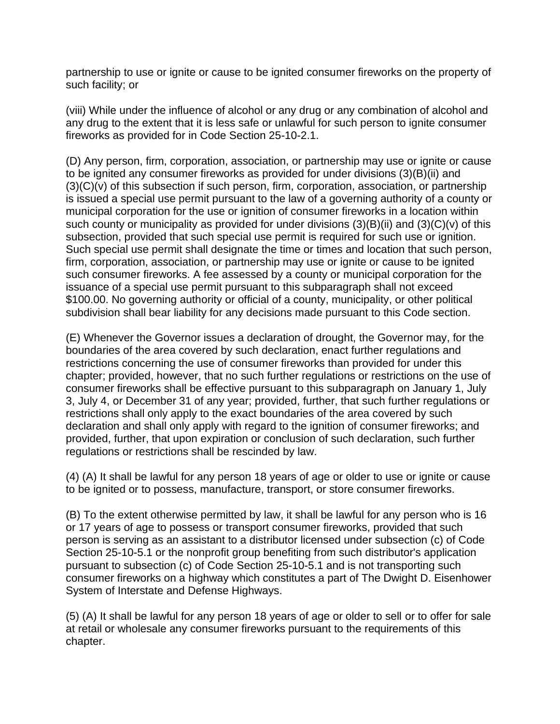partnership to use or ignite or cause to be ignited consumer fireworks on the property of such facility; or

(viii) While under the influence of alcohol or any drug or any combination of alcohol and any drug to the extent that it is less safe or unlawful for such person to ignite consumer fireworks as provided for in Code Section 25-10-2.1.

(D) Any person, firm, corporation, association, or partnership may use or ignite or cause to be ignited any consumer fireworks as provided for under divisions (3)(B)(ii) and  $(3)(C)(v)$  of this subsection if such person, firm, corporation, association, or partnership is issued a special use permit pursuant to the law of a governing authority of a county or municipal corporation for the use or ignition of consumer fireworks in a location within such county or municipality as provided for under divisions (3)(B)(ii) and (3)(C)(v) of this subsection, provided that such special use permit is required for such use or ignition. Such special use permit shall designate the time or times and location that such person, firm, corporation, association, or partnership may use or ignite or cause to be ignited such consumer fireworks. A fee assessed by a county or municipal corporation for the issuance of a special use permit pursuant to this subparagraph shall not exceed \$100.00. No governing authority or official of a county, municipality, or other political subdivision shall bear liability for any decisions made pursuant to this Code section.

(E) Whenever the Governor issues a declaration of drought, the Governor may, for the boundaries of the area covered by such declaration, enact further regulations and restrictions concerning the use of consumer fireworks than provided for under this chapter; provided, however, that no such further regulations or restrictions on the use of consumer fireworks shall be effective pursuant to this subparagraph on January 1, July 3, July 4, or December 31 of any year; provided, further, that such further regulations or restrictions shall only apply to the exact boundaries of the area covered by such declaration and shall only apply with regard to the ignition of consumer fireworks; and provided, further, that upon expiration or conclusion of such declaration, such further regulations or restrictions shall be rescinded by law.

(4) (A) It shall be lawful for any person 18 years of age or older to use or ignite or cause to be ignited or to possess, manufacture, transport, or store consumer fireworks.

(B) To the extent otherwise permitted by law, it shall be lawful for any person who is 16 or 17 years of age to possess or transport consumer fireworks, provided that such person is serving as an assistant to a distributor licensed under subsection (c) of Code Section 25-10-5.1 or the nonprofit group benefiting from such distributor's application pursuant to subsection (c) of Code Section 25-10-5.1 and is not transporting such consumer fireworks on a highway which constitutes a part of The Dwight D. Eisenhower System of Interstate and Defense Highways.

(5) (A) It shall be lawful for any person 18 years of age or older to sell or to offer for sale at retail or wholesale any consumer fireworks pursuant to the requirements of this chapter.